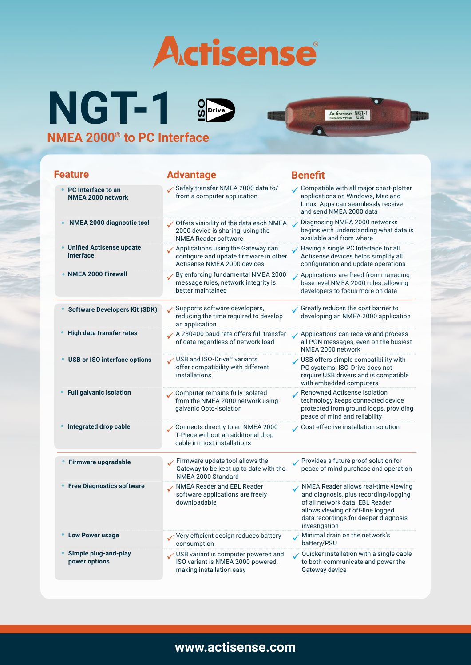

Actisense NGT-1

**NGT-1 NMEA 2000® to PC Interface ISO**<br>ISO<sup>Drive</sup>

| <b>Feature</b>                                        | <b>Advantage</b>                                                                                              | <b>Benefit</b>                                                                                                                                                                                                 |
|-------------------------------------------------------|---------------------------------------------------------------------------------------------------------------|----------------------------------------------------------------------------------------------------------------------------------------------------------------------------------------------------------------|
| <b>PC</b> Interface to an<br><b>NMEA 2000 network</b> | Safely transfer NMEA 2000 data to/<br>from a computer application                                             | Compatible with all major chart-plotter<br>applications on Windows, Mac and<br>Linux. Apps can seamlessly receive<br>and send NMEA 2000 data                                                                   |
| NMEA 2000 diagnostic tool                             | Offers visibility of the data each NMEA v<br>2000 device is sharing, using the<br><b>NMEA Reader software</b> | Diagnosing NMEA 2000 networks<br>begins with understanding what data is<br>available and from where                                                                                                            |
| <b>Unified Actisense update</b><br>interface          | Applications using the Gateway can<br>configure and update firmware in other<br>Actisense NMEA 2000 devices   | Having a single PC Interface for all<br>Actisense devices helps simplify all<br>configuration and update operations                                                                                            |
| <b>NMEA 2000 Firewall</b>                             | By enforcing fundamental NMEA 2000<br>message rules, network integrity is<br>better maintained                | Applications are freed from managing<br>base level NMEA 2000 rules, allowing<br>developers to focus more on data                                                                                               |
| <b>Software Developers Kit (SDK)</b>                  | Supports software developers,<br>reducing the time required to develop<br>an application                      | Greatly reduces the cost barrier to<br>developing an NMEA 2000 application                                                                                                                                     |
| High data transfer rates                              | A 230400 baud rate offers full transfer<br>of data regardless of network load                                 | Applications can receive and process<br>all PGN messages, even on the busiest<br>NMEA 2000 network                                                                                                             |
| <b>USB or ISO interface options</b>                   | √ USB and ISO-Drive <sup>™</sup> variants<br>offer compatibility with different<br>installations              | USB offers simple compatibility with<br>PC systems. ISO-Drive does not<br>require USB drivers and is compatible<br>with embedded computers                                                                     |
| <b>Full galvanic isolation</b>                        | Computer remains fully isolated<br>from the NMEA 2000 network using<br>galvanic Opto-isolation                | Renowned Actisense isolation<br>technology keeps connected device<br>protected from ground loops, providing<br>peace of mind and reliability                                                                   |
| Integrated drop cable                                 | Connects directly to an NMEA 2000<br>T-Piece without an additional drop<br>cable in most installations        | Cost effective installation solution                                                                                                                                                                           |
| Firmware upgradable                                   | Firmware update tool allows the<br>Gateway to be kept up to date with the<br>NMEA 2000 Standard               | ✔ Provides a future proof solution for<br>peace of mind purchase and operation                                                                                                                                 |
| <b>Free Diagnostics software</b>                      | <b>NMEA Reader and EBL Reader</b><br>software applications are freely<br>downloadable                         | NMEA Reader allows real-time viewing<br>and diagnosis, plus recording/logging<br>of all network data. EBL Reader<br>allows viewing of off-line logged<br>data recordings for deeper diagnosis<br>investigation |
| <b>Low Power usage</b>                                | Very efficient design reduces battery<br>consumption                                                          | Minimal drain on the network's<br>battery/PSU                                                                                                                                                                  |
| Simple plug-and-play<br>power options                 | USB variant is computer powered and<br>ISO variant is NMEA 2000 powered,<br>making installation easy          | Quicker installation with a single cable<br>to both communicate and power the<br>Gateway device                                                                                                                |

## **www.actisense.com**